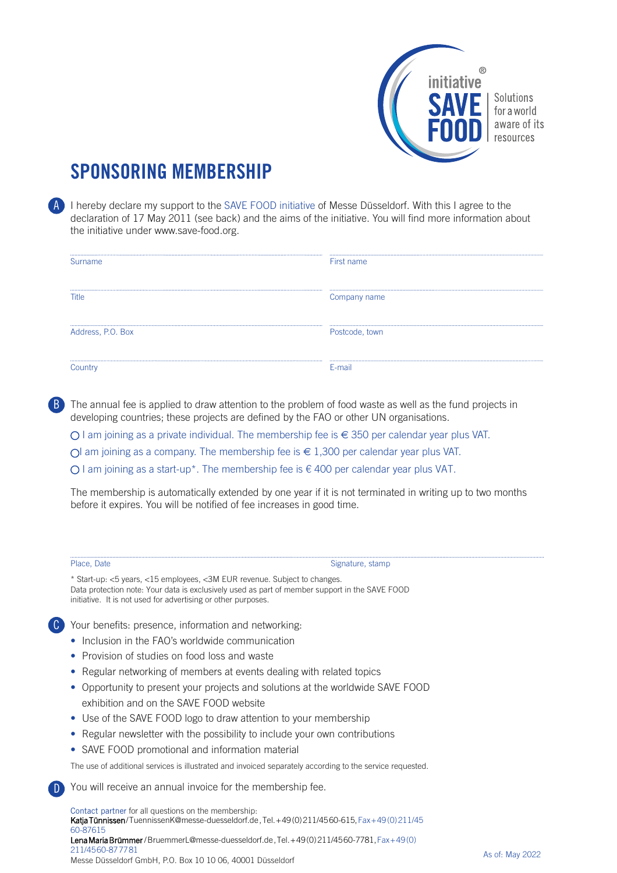

## **SPONSORING MEMBERSHIP**

A I hereby declare my support to the SAVE FOOD initiative of Messe Düsseldorf. With this I agree to the declaration of 17 May 2011 (see back) and the aims of the initiative. You will find more information about the initiative under www.save-food.org.

| Surname           | First name     |
|-------------------|----------------|
|                   |                |
| Title             | Company name   |
|                   |                |
| Address, P.O. Box | Postcode, town |
|                   | F-mail         |

The annual fee is applied to draw attention to the problem of food waste as well as the fund projects in developing countries; these projects are defined by the FAO or other UN organisations. B

O I am joining as a private individual. The membership fee is € 350 per calendar year plus VAT.

Ol am joining as a company. The membership fee is  $\in$  1,300 per calendar year plus VAT.

O I am joining as a start-up\*. The membership fee is  $\epsilon$  400 per calendar year plus VAT.

The membership is automatically extended by one year if it is not terminated in writing up to two months before it expires. You will be notified of fee increases in good time.

C

D

Place, Date Signature, stamp

\* Start-up: <5 years, <15 employees, <3M EUR revenue. Subject to changes. Data protection note: Your data is exclusively used as part of member support in the SAVE FOOD initiative. It is not used for advertising or other purposes.

Your benefits: presence, information and networking:

- Inclusion in the FAO's worldwide communication
- Provision of studies on food loss and waste
- Regular networking of members at events dealing with related topics
- Opportunity to present your projects and solutions at the worldwide SAVE FOOD exhibition and on the SAVE FOOD website
- Use of the SAVE FOOD logo to draw attention to your membership
- Regular newsletter with the possibility to include your own contributions
- SAVE FOOD promotional and information material

The use of additional services is illustrated and invoiced separately according to the service requested.

You will receive an annual invoice for the membership fee.

Contact partner for all questions on the membership: Katja Tünnissen / TuennissenK@messe-duesseldorf.de , Tel. + 49 (0) 211/45 60-615, Fax + 49 (0) 211/45 60-87615 Lena Maria Brümmer / BruemmerL@messe-duesseldorf.de , Tel. + 49 (0) 211/45 60-7781, Fax + 49 (0) 211/45 60-87 77 81 Messe Düsseldorf GmbH, P.O. Box 10 10 06, 40001 Düsseldorf As of: May 2022